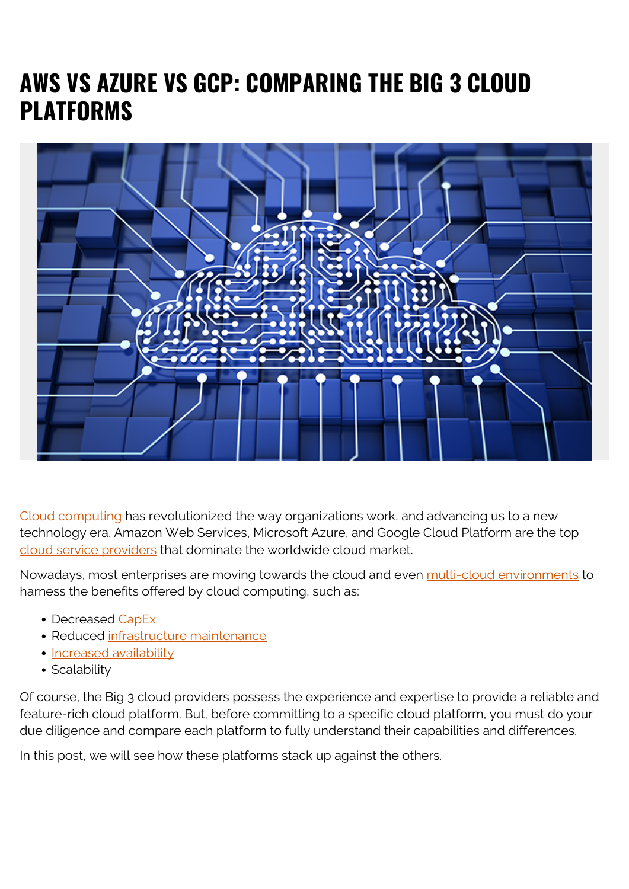# **AWS VS AZURE VS GCP: COMPARING THE BIG 3 CLOUD PLATFORMS**



[Cloud computing](https://blogs.bmc.com/blogs/public-private-hybrid-cloud/) has revolutionized the way organizations work, and advancing us to a new technology era. Amazon Web Services, Microsoft Azure, and Google Cloud Platform are the top [cloud service providers](https://blogs.bmc.com/blogs/csp-cloud-service-providers/) that dominate the worldwide cloud market.

Nowadays, most enterprises are moving towards the cloud and even [multi-cloud environments](https://blogs.bmc.com/blogs/multi-cloud-strategy/) to harness the benefits offered by cloud computing, such as:

- Decreased [CapEx](https://blogs.bmc.com/blogs/capex-vs-opex/)
- Reduced [infrastructure maintenance](https://blogs.bmc.com/blogs/it-infrastructure-management/)
- [Increased availability](https://blogs.bmc.com/blogs/high-availability/)
- Scalability

Of course, the Big 3 cloud providers possess the experience and expertise to provide a reliable and feature-rich cloud platform. But, before committing to a specific cloud platform, you must do your due diligence and compare each platform to fully understand their capabilities and differences.

In this post, we will see how these platforms stack up against the others.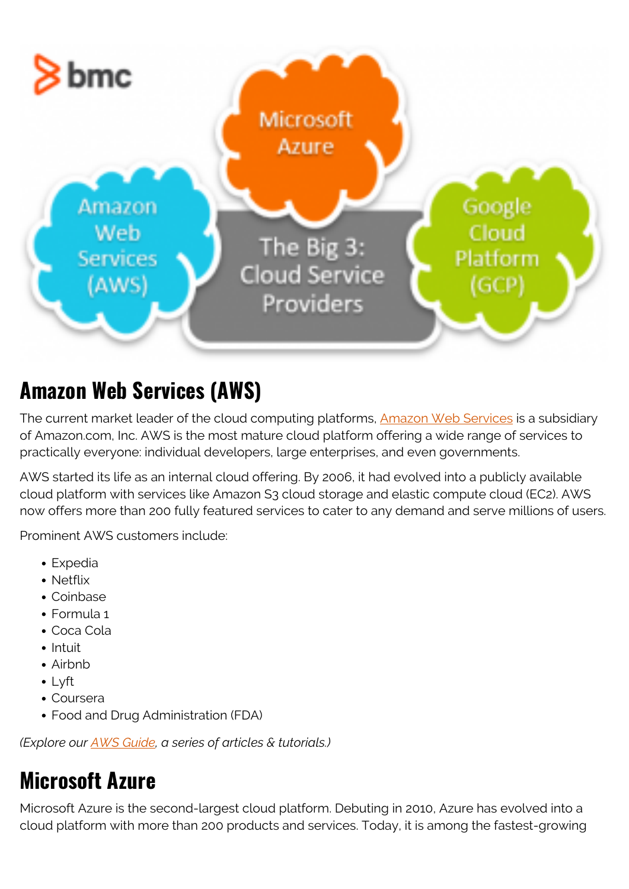

# **Amazon Web Services (AWS)**

The current market leader of the cloud computing platforms, [Amazon Web Services](https://blogs.bmc.com/blogs/aws-serverless-applications/) is a subsidiary of Amazon.com, Inc. AWS is the most mature cloud platform offering a wide range of services to practically everyone: individual developers, large enterprises, and even governments.

AWS started its life as an internal cloud offering. By 2006, it had evolved into a publicly available cloud platform with services like Amazon S3 cloud storage and elastic compute cloud (EC2). AWS now offers more than 200 fully featured services to cater to any demand and serve millions of users.

Prominent AWS customers include:

- Expedia
- Netflix
- Coinbase
- Formula 1
- Coca Cola
- $\bullet$  Intuit
- Airbnb
- Lyft
- Coursera
- Food and Drug Administration (FDA)

*(Explore our [AWS Guide](https://blogs.bmc.com/blogs/aws-serverless-applications/), a series of articles & tutorials.)*

## **Microsoft Azure**

Microsoft Azure is the second-largest cloud platform. Debuting in 2010, Azure has evolved into a cloud platform with more than 200 products and services. Today, it is among the fastest-growing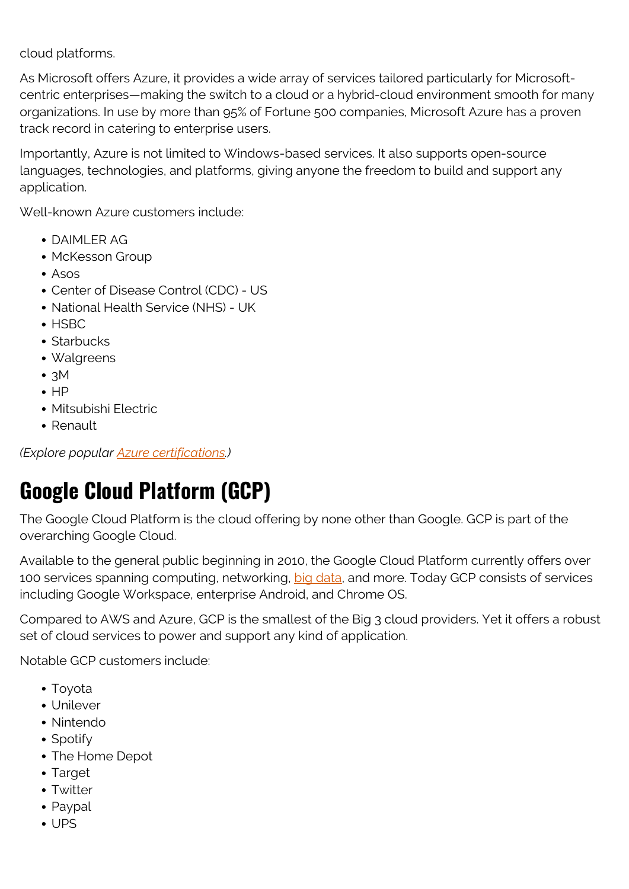cloud platforms.

As Microsoft offers Azure, it provides a wide array of services tailored particularly for Microsoftcentric enterprises—making the switch to a cloud or a hybrid-cloud environment smooth for many organizations. In use by more than 95% of Fortune 500 companies, Microsoft Azure has a proven track record in catering to enterprise users.

Importantly, Azure is not limited to Windows-based services. It also supports open-source languages, technologies, and platforms, giving anyone the freedom to build and support any application.

Well-known Azure customers include:

- DAIMLER AG
- McKesson Group
- Asos
- Center of Disease Control (CDC) US
- National Health Service (NHS) UK
- $\bullet$  HSBC
- Starbucks
- Walgreens
- $\cdot$  3M
- $\bullet$  HP
- Mitsubishi Electric
- Renault

*(Explore popular [Azure certifications](https://blogs.bmc.com/blogs/azure-certifications/).)*

# **Google Cloud Platform (GCP)**

The Google Cloud Platform is the cloud offering by none other than Google. GCP is part of the overarching Google Cloud.

Available to the general public beginning in 2010, the Google Cloud Platform currently offers over 100 services spanning computing, networking, [big data,](https://blogs.bmc.com/blogs/big-data/) and more. Today GCP consists of services including Google Workspace, enterprise Android, and Chrome OS.

Compared to AWS and Azure, GCP is the smallest of the Big 3 cloud providers. Yet it offers a robust set of cloud services to power and support any kind of application.

Notable GCP customers include:

- Toyota
- Unilever
- Nintendo
- Spotify
- The Home Depot
- Target
- Twitter
- Paypal
- UPS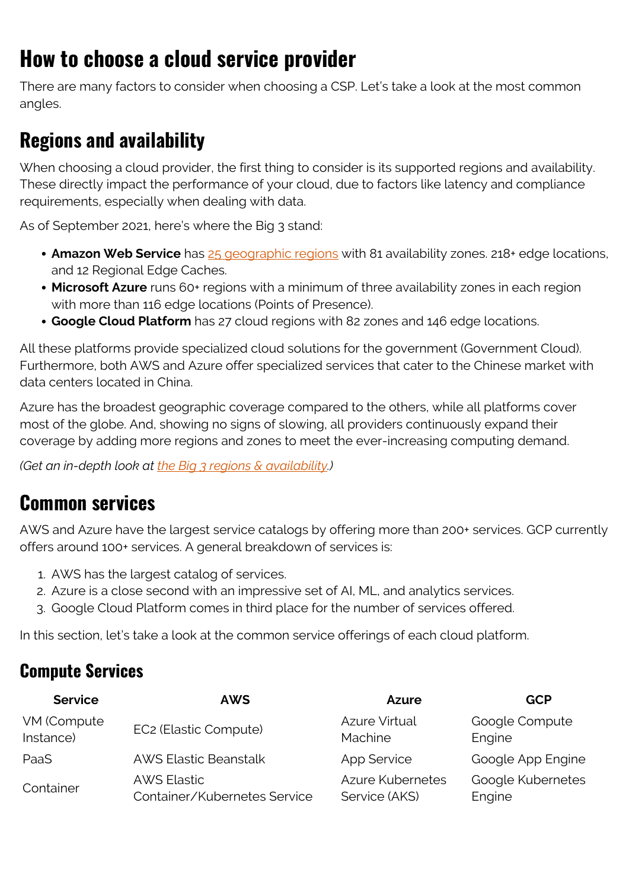# **How to choose a cloud service provider**

There are many factors to consider when choosing a CSP. Let's take a look at the most common angles.

## **Regions and availability**

When choosing a cloud provider, the first thing to consider is its supported regions and availability. These directly impact the performance of your cloud, due to factors like latency and compliance requirements, especially when dealing with data.

As of September 2021, here's where the Big 3 stand:

- **Amazon Web Service** has [25 geographic regions](https://blogs.bmc.com/blogs/aws-regions-availability-zones/) with 81 availability zones. 218+ edge locations, and 12 Regional Edge Caches.
- **Microsoft Azure** runs 60+ regions with a minimum of three availability zones in each region with more than 116 edge locations (Points of Presence).
- **Google Cloud Platform** has 27 cloud regions with 82 zones and 146 edge locations.

All these platforms provide specialized cloud solutions for the government (Government Cloud). Furthermore, both AWS and Azure offer specialized services that cater to the Chinese market with data centers located in China.

Azure has the broadest geographic coverage compared to the others, while all platforms cover most of the globe. And, showing no signs of slowing, all providers continuously expand their coverage by adding more regions and zones to meet the ever-increasing computing demand.

*(Get an in-depth look at [the Big 3 regions & availability](https://blogs.bmc.com/blogs/cloud-availability-regions-zones/).)*

### **Common services**

AWS and Azure have the largest service catalogs by offering more than 200+ services. GCP currently offers around 100+ services. A general breakdown of services is:

- 1. AWS has the largest catalog of services.
- 2. Azure is a close second with an impressive set of AI, ML, and analytics services.
- 3. Google Cloud Platform comes in third place for the number of services offered.

In this section, let's take a look at the common service offerings of each cloud platform.

### **Compute Services**

| <b>Service</b> | <b>AWS</b>                   | Azure                   | GCP               |
|----------------|------------------------------|-------------------------|-------------------|
| VM (Compute    | EC2 (Elastic Compute)        | <b>Azure Virtual</b>    | Google Compute    |
| Instance)      |                              | Machine                 | Engine            |
| PaaS           | <b>AWS Elastic Beanstalk</b> | App Service             | Google App Engine |
| Container      | <b>AWS Elastic</b>           | <b>Azure Kubernetes</b> | Google Kubernetes |
|                | Container/Kubernetes Service | Service (AKS)           | Engine            |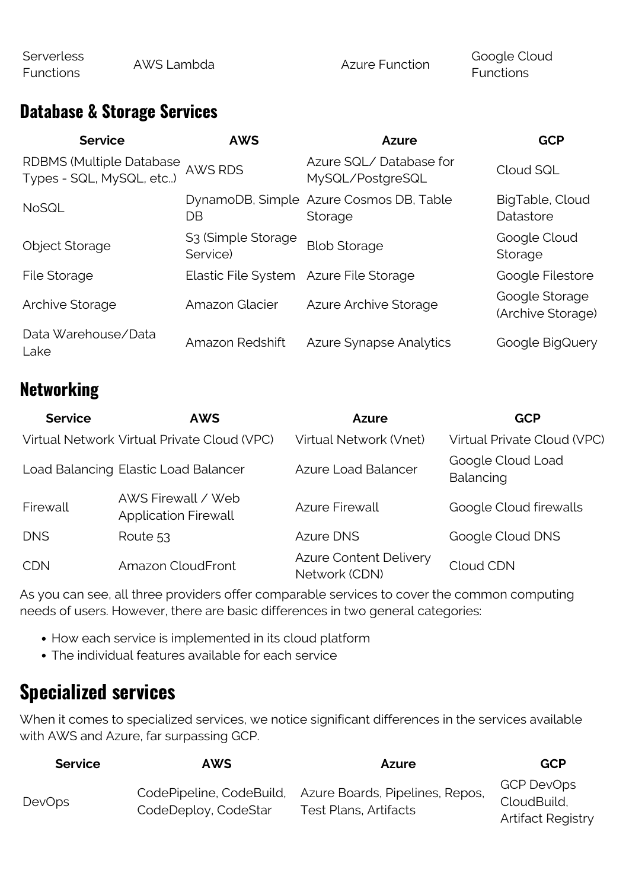Functions

#### **Database & Storage Services**

| <b>Service</b>                                              | <b>AWS</b>                                 | <b>Azure</b>                                       | <b>GCP</b>                          |
|-------------------------------------------------------------|--------------------------------------------|----------------------------------------------------|-------------------------------------|
| <b>RDBMS (Multiple Database</b><br>Types - SQL, MySQL, etc) | <b>AWS RDS</b>                             | Azure SQL/Database for<br>MySQL/PostgreSQL         | Cloud SQL                           |
| <b>NoSQL</b>                                                | DB                                         | DynamoDB, Simple Azure Cosmos DB, Table<br>Storage | BigTable, Cloud<br>Datastore        |
| <b>Object Storage</b>                                       | S <sub>3</sub> (Simple Storage<br>Service) | <b>Blob Storage</b>                                | Google Cloud<br>Storage             |
| File Storage                                                | Elastic File System Azure File Storage     |                                                    | Google Filestore                    |
| Archive Storage                                             | Amazon Glacier                             | Azure Archive Storage                              | Google Storage<br>(Archive Storage) |
| Data Warehouse/Data<br>Lake                                 | Amazon Redshift                            | <b>Azure Synapse Analytics</b>                     | Google BigQuery                     |

### **Networking**

| <b>Service</b> | <b>AWS</b>                                        | <b>Azure</b>                                   | <b>GCP</b>                     |
|----------------|---------------------------------------------------|------------------------------------------------|--------------------------------|
|                | Virtual Network Virtual Private Cloud (VPC)       | Virtual Network (Vnet)                         | Virtual Private Cloud (VPC)    |
|                | Load Balancing Elastic Load Balancer              | <b>Azure Load Balancer</b>                     | Google Cloud Load<br>Balancing |
| Firewall       | AWS Firewall / Web<br><b>Application Firewall</b> | <b>Azure Firewall</b>                          | Google Cloud firewalls         |
| <b>DNS</b>     | Route 53                                          | <b>Azure DNS</b>                               | Google Cloud DNS               |
| <b>CDN</b>     | Amazon CloudFront                                 | <b>Azure Content Delivery</b><br>Network (CDN) | Cloud CDN                      |

As you can see, all three providers offer comparable services to cover the common computing needs of users. However, there are basic differences in two general categories:

- How each service is implemented in its cloud platform
- The individual features available for each service

### **Specialized services**

When it comes to specialized services, we notice significant differences in the services available with AWS and Azure, far surpassing GCP.

| <b>Service</b> | AWS                  | <b>Azure</b>                                                                      | <b>GCP</b>                                            |
|----------------|----------------------|-----------------------------------------------------------------------------------|-------------------------------------------------------|
| <b>DevOps</b>  | CodeDeploy, CodeStar | CodePipeline, CodeBuild, Azure Boards, Pipelines, Repos,<br>Test Plans, Artifacts | GCP DevOps<br>CloudBuild,<br><b>Artifact Registry</b> |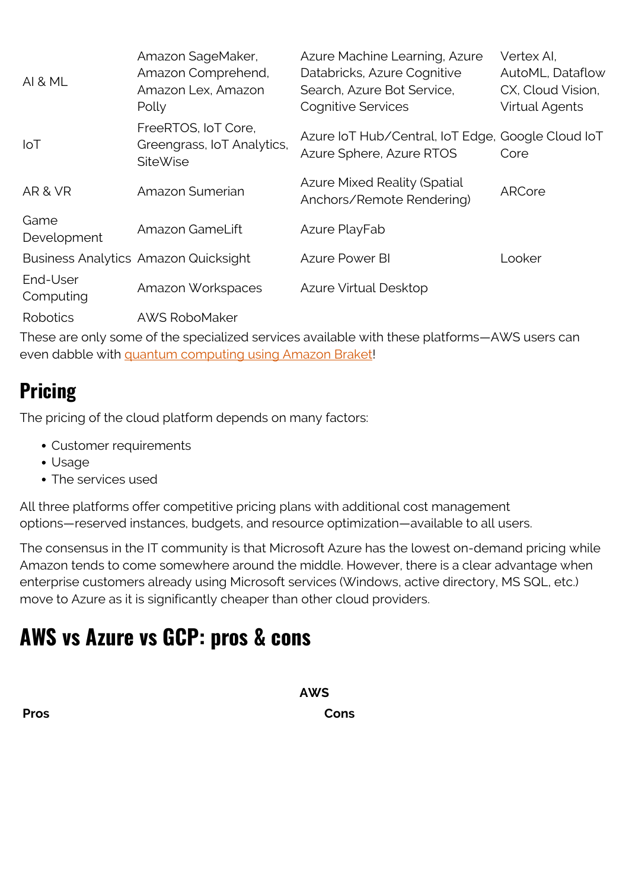| <b>AI &amp; ML</b>    | Amazon SageMaker,<br>Amazon Comprehend,<br>Amazon Lex, Amazon<br>Polly | Azure Machine Learning, Azure<br>Databricks, Azure Cognitive<br>Search, Azure Bot Service,<br><b>Cognitive Services</b> | Vertex Al.<br>AutoML, Dataflow<br>CX, Cloud Vision,<br><b>Virtual Agents</b> |
|-----------------------|------------------------------------------------------------------------|-------------------------------------------------------------------------------------------------------------------------|------------------------------------------------------------------------------|
| $I \circ T$           | FreeRTOS, IoT Core,<br>Greengrass, IoT Analytics,<br><b>SiteWise</b>   | Azure IoT Hub/Central, IoT Edge, Google Cloud IoT<br>Azure Sphere, Azure RTOS                                           | Core                                                                         |
| AR & VR               | Amazon Sumerian                                                        | <b>Azure Mixed Reality (Spatial</b><br>Anchors/Remote Rendering)                                                        | ARCore                                                                       |
| Game<br>Development   | Amazon GameLift                                                        | Azure PlayFab                                                                                                           |                                                                              |
|                       | <b>Business Analytics Amazon Quicksight</b>                            | <b>Azure Power BI</b>                                                                                                   | Looker                                                                       |
| End-User<br>Computing | Amazon Workspaces                                                      | Azure Virtual Desktop                                                                                                   |                                                                              |
| Robotics              | <b>AWS RoboMaker</b>                                                   |                                                                                                                         |                                                                              |

These are only some of the specialized services available with these platforms—AWS users can even dabble with [quantum computing using Amazon Braket!](https://blogs.bmc.com/blogs/aws-braket-quantum-computing/)

### **Pricing**

The pricing of the cloud platform depends on many factors:

- Customer requirements
- Usage
- The services used

All three platforms offer competitive pricing plans with additional cost management options—reserved instances, budgets, and resource optimization—available to all users.

The consensus in the IT community is that Microsoft Azure has the lowest on-demand pricing while Amazon tends to come somewhere around the middle. However, there is a clear advantage when enterprise customers already using Microsoft services (Windows, active directory, MS SQL, etc.) move to Azure as it is significantly cheaper than other cloud providers.

### **AWS vs Azure vs GCP: pros & cons**

**AWS Pros Cons**